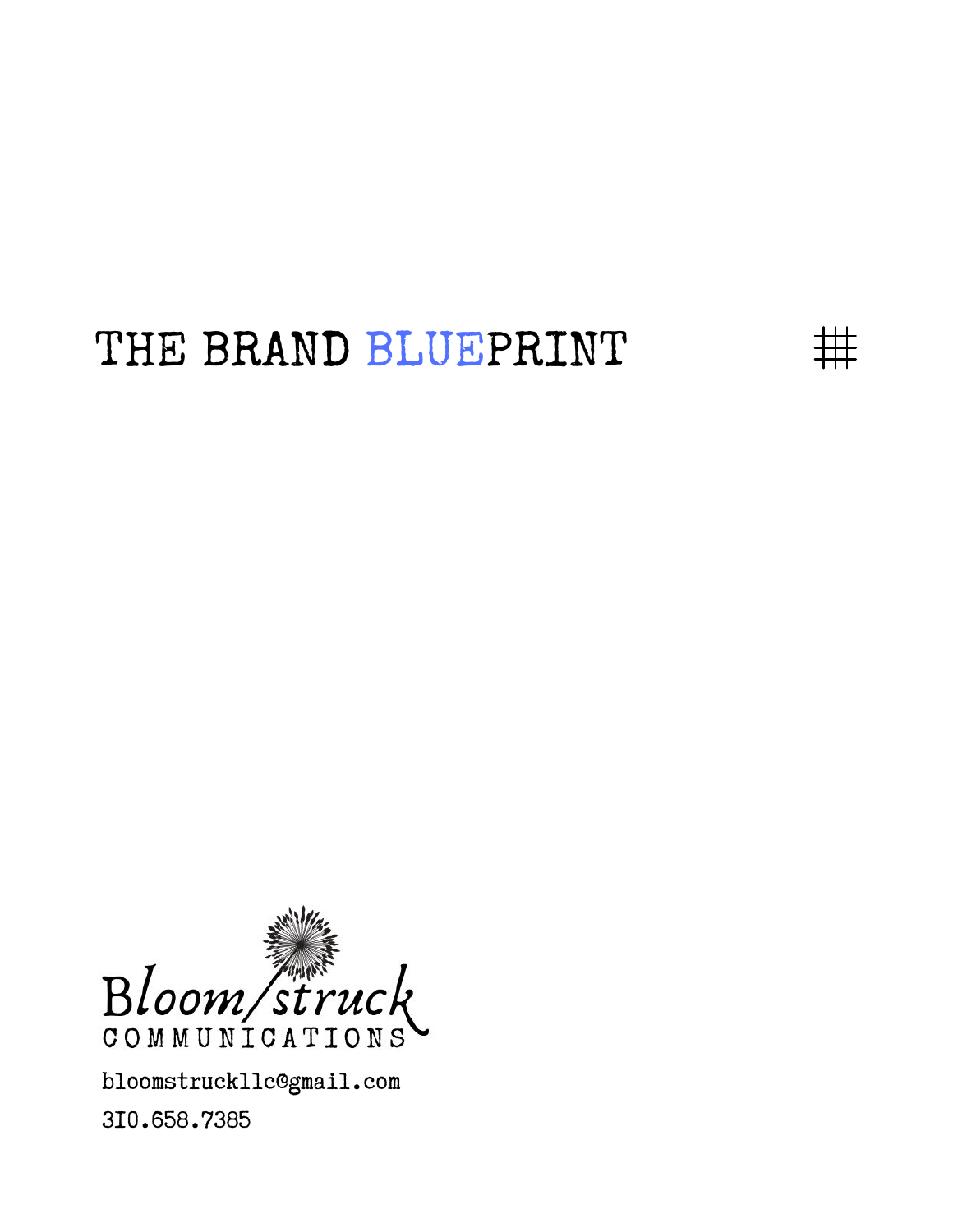# THE BRAND BLUEPRINT

排



bloomstruckllc@gmail.com 310.658.7385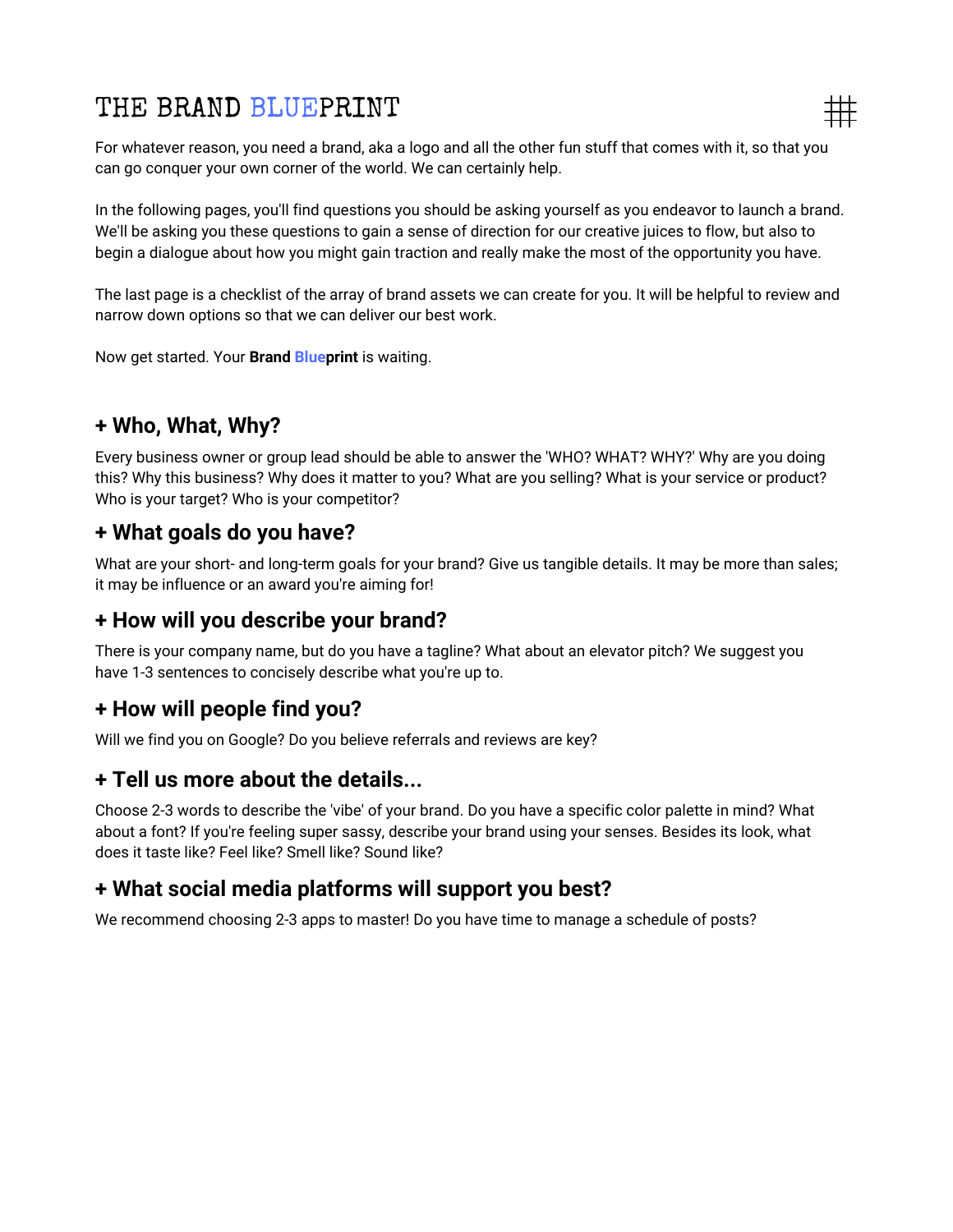## THE BRAND BLUEPRINT

₩

For whatever reason, you need a brand, aka a logo and all the other fun stuff that comes with it, so that you can go conquer your own corner of the world. We can certainly help.

In the following pages, you'll find questions you should be asking yourself as you endeavor to launch a brand. We'll be asking you these questions to gain a sense of direction for our creative juices to flow, but also to begin a dialogue about how you might gain traction and really make the most of the opportunity you have.

The last page is a checklist of the array of brand assets we can create for you. It will be helpful to review and narrow down options so that we can deliver our best work.

Now get started. Your **Brand Blueprint** is waiting.

### **+ Who, What, Why?**

Every business owner or group lead should be able to answer the 'WHO? WHAT? WHY?' Why are you doing this? Why this business? Why does it matter to you? What are you selling? What is your service or product? Who is your target? Who is your competitor?

### **+ What goals do you have?**

What are your short- and long-term goals for your brand? Give us tangible details. It may be more than sales; it may be influence or an award you're aiming for!

### **+ How will you describe your brand?**

There is your company name, but do you have a tagline? What about an elevator pitch? We suggest you have 1-3 sentences to concisely describe what you're up to.

### **+ How will people find you?**

Will we find you on Google? Do you believe referrals and reviews are key?

### **+ Tell us more about the details...**

Choose 2-3 words to describe the 'vibe' of your brand. Do you have a specific color palette in mind? What about a font? If you're feeling super sassy, describe your brand using your senses. Besides its look, what does it taste like? Feel like? Smell like? Sound like?

### **+ What social media platforms will support you best?**

We recommend choosing 2-3 apps to master! Do you have time to manage a schedule of posts?